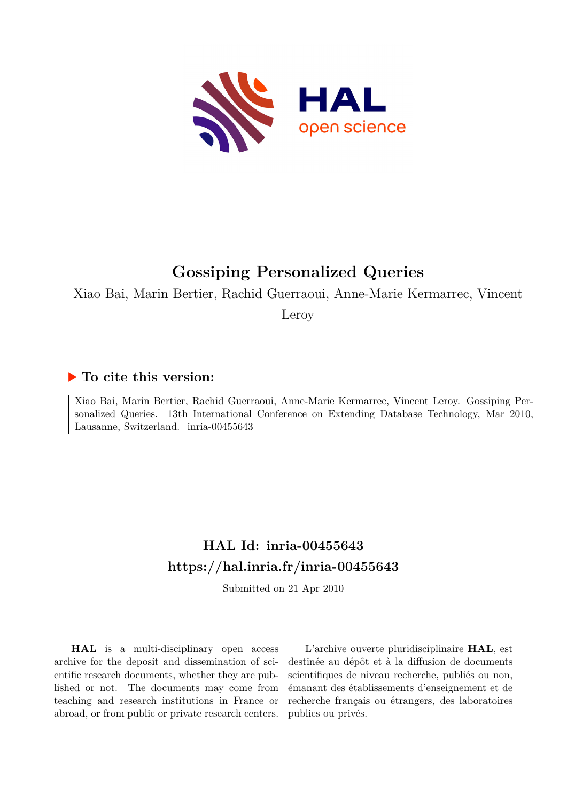

# **Gossiping Personalized Queries**

Xiao Bai, Marin Bertier, Rachid Guerraoui, Anne-Marie Kermarrec, Vincent

Leroy

## **To cite this version:**

Xiao Bai, Marin Bertier, Rachid Guerraoui, Anne-Marie Kermarrec, Vincent Leroy. Gossiping Personalized Queries. 13th International Conference on Extending Database Technology, Mar 2010, Lausanne, Switzerland. inria-00455643

## **HAL Id: inria-00455643 <https://hal.inria.fr/inria-00455643>**

Submitted on 21 Apr 2010

**HAL** is a multi-disciplinary open access archive for the deposit and dissemination of scientific research documents, whether they are published or not. The documents may come from teaching and research institutions in France or abroad, or from public or private research centers.

L'archive ouverte pluridisciplinaire **HAL**, est destinée au dépôt et à la diffusion de documents scientifiques de niveau recherche, publiés ou non, émanant des établissements d'enseignement et de recherche français ou étrangers, des laboratoires publics ou privés.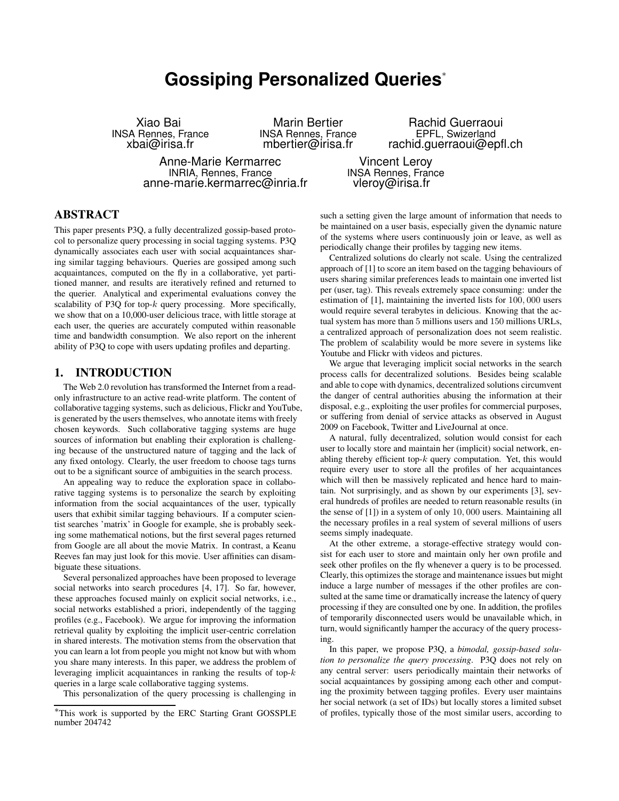## **Gossiping Personalized Queries**<sup>∗</sup>

Xiao Bai INSA Rennes, France xbai@irisa.fr

Marin Bertier INSA Rennes, France mbertier@irisa.fr

Anne-Marie Kermarrec INRIA, Rennes, France

anne-marie.kermarrec@inria.fr

Rachid Guerraoui EPFL, Swizerland rachid.guerraoui@epfl.ch

Vincent Leroy INSA Rennes, France vleroy@irisa.fr

## **ABSTRACT**

This paper presents P3Q, a fully decentralized gossip-based protocol to personalize query processing in social tagging systems. P3Q dynamically associates each user with social acquaintances sharing similar tagging behaviours. Queries are gossiped among such acquaintances, computed on the fly in a collaborative, yet partitioned manner, and results are iteratively refined and returned to the querier. Analytical and experimental evaluations convey the scalability of P3Q for top- $k$  query processing. More specifically, we show that on a 10,000-user delicious trace, with little storage at each user, the queries are accurately computed within reasonable time and bandwidth consumption. We also report on the inherent ability of P3Q to cope with users updating profiles and departing.

## **1. INTRODUCTION**

The Web 2.0 revolution has transformed the Internet from a readonly infrastructure to an active read-write platform. The content of collaborative tagging systems, such as delicious, Flickr and YouTube, is generated by the users themselves, who annotate items with freely chosen keywords. Such collaborative tagging systems are huge sources of information but enabling their exploration is challenging because of the unstructured nature of tagging and the lack of any fixed ontology. Clearly, the user freedom to choose tags turns out to be a significant source of ambiguities in the search process.

An appealing way to reduce the exploration space in collaborative tagging systems is to personalize the search by exploiting information from the social acquaintances of the user, typically users that exhibit similar tagging behaviours. If a computer scientist searches 'matrix' in Google for example, she is probably seeking some mathematical notions, but the first several pages returned from Google are all about the movie Matrix. In contrast, a Keanu Reeves fan may just look for this movie. User affinities can disambiguate these situations.

Several personalized approaches have been proposed to leverage social networks into search procedures [4, 17]. So far, however, these approaches focused mainly on explicit social networks, i.e., social networks established a priori, independently of the tagging profiles (e.g., Facebook). We argue for improving the information retrieval quality by exploiting the implicit user-centric correlation in shared interests. The motivation stems from the observation that you can learn a lot from people you might not know but with whom you share many interests. In this paper, we address the problem of leveraging implicit acquaintances in ranking the results of top- $k$ queries in a large scale collaborative tagging systems.

This personalization of the query processing is challenging in

such a setting given the large amount of information that needs to be maintained on a user basis, especially given the dynamic nature of the systems where users continuously join or leave, as well as periodically change their profiles by tagging new items.

Centralized solutions do clearly not scale. Using the centralized approach of [1] to score an item based on the tagging behaviours of users sharing similar preferences leads to maintain one inverted list per (user, tag). This reveals extremely space consuming: under the estimation of [1], maintaining the inverted lists for 100, 000 users would require several terabytes in delicious. Knowing that the actual system has more than 5 millions users and 150 millions URLs, a centralized approach of personalization does not seem realistic. The problem of scalability would be more severe in systems like Youtube and Flickr with videos and pictures.

We argue that leveraging implicit social networks in the search process calls for decentralized solutions. Besides being scalable and able to cope with dynamics, decentralized solutions circumvent the danger of central authorities abusing the information at their disposal, e.g., exploiting the user profiles for commercial purposes, or suffering from denial of service attacks as observed in August 2009 on Facebook, Twitter and LiveJournal at once.

A natural, fully decentralized, solution would consist for each user to locally store and maintain her (implicit) social network, enabling thereby efficient top- $k$  query computation. Yet, this would require every user to store all the profiles of her acquaintances which will then be massively replicated and hence hard to maintain. Not surprisingly, and as shown by our experiments [3], several hundreds of profiles are needed to return reasonable results (in the sense of [1]) in a system of only 10, 000 users. Maintaining all the necessary profiles in a real system of several millions of users seems simply inadequate.

At the other extreme, a storage-effective strategy would consist for each user to store and maintain only her own profile and seek other profiles on the fly whenever a query is to be processed. Clearly, this optimizes the storage and maintenance issues but might induce a large number of messages if the other profiles are consulted at the same time or dramatically increase the latency of query processing if they are consulted one by one. In addition, the profiles of temporarily disconnected users would be unavailable which, in turn, would significantly hamper the accuracy of the query processing.

In this paper, we propose P3Q, a *bimodal, gossip-based solution to personalize the query processing*. P3Q does not rely on any central server: users periodically maintain their networks of social acquaintances by gossiping among each other and computing the proximity between tagging profiles. Every user maintains her social network (a set of IDs) but locally stores a limited subset of profiles, typically those of the most similar users, according to

<sup>∗</sup>This work is supported by the ERC Starting Grant GOSSPLE number 204742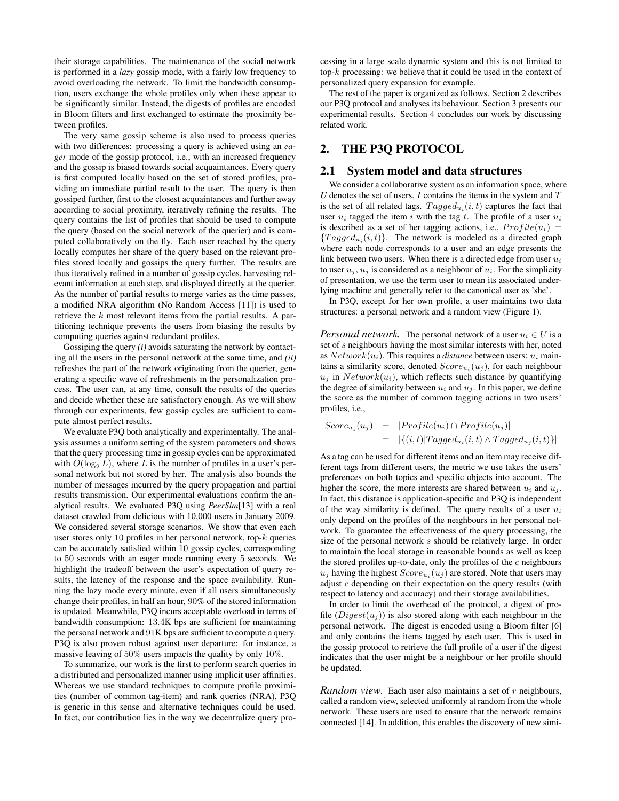their storage capabilities. The maintenance of the social network is performed in a *lazy* gossip mode, with a fairly low frequency to avoid overloading the network. To limit the bandwidth consumption, users exchange the whole profiles only when these appear to be significantly similar. Instead, the digests of profiles are encoded in Bloom filters and first exchanged to estimate the proximity between profiles.

The very same gossip scheme is also used to process queries with two differences: processing a query is achieved using an *eager* mode of the gossip protocol, i.e., with an increased frequency and the gossip is biased towards social acquaintances. Every query is first computed locally based on the set of stored profiles, providing an immediate partial result to the user. The query is then gossiped further, first to the closest acquaintances and further away according to social proximity, iteratively refining the results. The query contains the list of profiles that should be used to compute the query (based on the social network of the querier) and is computed collaboratively on the fly. Each user reached by the query locally computes her share of the query based on the relevant profiles stored locally and gossips the query further. The results are thus iteratively refined in a number of gossip cycles, harvesting relevant information at each step, and displayed directly at the querier. As the number of partial results to merge varies as the time passes, a modified NRA algorithm (No Random Access [11]) is used to retrieve the  $k$  most relevant items from the partial results. A partitioning technique prevents the users from biasing the results by computing queries against redundant profiles.

Gossiping the query *(i)* avoids saturating the network by contacting all the users in the personal network at the same time, and *(ii)* refreshes the part of the network originating from the querier, generating a specific wave of refreshments in the personalization process. The user can, at any time, consult the results of the queries and decide whether these are satisfactory enough. As we will show through our experiments, few gossip cycles are sufficient to compute almost perfect results.

We evaluate P3Q both analytically and experimentally. The analysis assumes a uniform setting of the system parameters and shows that the query processing time in gossip cycles can be approximated with  $O(\log_2 L)$ , where L is the number of profiles in a user's personal network but not stored by her. The analysis also bounds the number of messages incurred by the query propagation and partial results transmission. Our experimental evaluations confirm the analytical results. We evaluated P3Q using *PeerSim*[13] with a real dataset crawled from delicious with 10,000 users in January 2009. We considered several storage scenarios. We show that even each user stores only 10 profiles in her personal network, top- $k$  queries can be accurately satisfied within 10 gossip cycles, corresponding to 50 seconds with an eager mode running every 5 seconds. We highlight the tradeoff between the user's expectation of query results, the latency of the response and the space availability. Running the lazy mode every minute, even if all users simultaneously change their profiles, in half an hour, 90% of the stored information is updated. Meanwhile, P3Q incurs acceptable overload in terms of bandwidth consumption: 13.4K bps are sufficient for maintaining the personal network and 91K bps are sufficient to compute a query. P3Q is also proven robust against user departure: for instance, a massive leaving of 50% users impacts the quality by only 10%.

To summarize, our work is the first to perform search queries in a distributed and personalized manner using implicit user affinities. Whereas we use standard techniques to compute profile proximities (number of common tag-item) and rank queries (NRA), P3Q is generic in this sense and alternative techniques could be used. In fact, our contribution lies in the way we decentralize query processing in a large scale dynamic system and this is not limited to top- $k$  processing: we believe that it could be used in the context of personalized query expansion for example.

The rest of the paper is organized as follows. Section 2 describes our P3Q protocol and analyses its behaviour. Section 3 presents our experimental results. Section 4 concludes our work by discussing related work.

## **2. THE P3Q PROTOCOL**

#### **2.1 System model and data structures**

We consider a collaborative system as an information space, where  $U$  denotes the set of users,  $I$  contains the items in the system and  $T$ is the set of all related tags.  $Tagged_{u_i}(i, t)$  captures the fact that user  $u_i$  tagged the item i with the tag t. The profile of a user  $u_i$ is described as a set of her tagging actions, i.e.,  $Profit(u_i)$  =  ${Taged}_{u_i}(i, t)$ . The network is modeled as a directed graph where each node corresponds to a user and an edge presents the link between two users. When there is a directed edge from user  $u_i$ to user  $u_i$ ,  $u_j$  is considered as a neighbour of  $u_i$ . For the simplicity of presentation, we use the term user to mean its associated underlying machine and generally refer to the canonical user as 'she'.

In P3Q, except for her own profile, a user maintains two data structures: a personal network and a random view (Figure 1).

*Personal network.* The personal network of a user  $u_i \in U$  is a set of s neighbours having the most similar interests with her, noted as  $Network(u_i)$ . This requires a *distance* between users:  $u_i$  maintains a similarity score, denoted  $Score_{u_i}(u_j)$ , for each neighbour  $u_j$  in  $Network(u_i)$ , which reflects such distance by quantifying the degree of similarity between  $u_i$  and  $u_j$ . In this paper, we define the score as the number of common tagging actions in two users' profiles, i.e.,

$$
Score_{u_i}(u_j) = |Project(u_i) \cap Profile(u_j)|
$$
  
= 
$$
|\{(i,t)|Taged_{u_i}(i,t) \land Tagged_{u_i}(i,t)\}|
$$

As a tag can be used for different items and an item may receive different tags from different users, the metric we use takes the users' preferences on both topics and specific objects into account. The higher the score, the more interests are shared between  $u_i$  and  $u_j$ . In fact, this distance is application-specific and P3Q is independent of the way similarity is defined. The query results of a user  $u_i$ only depend on the profiles of the neighbours in her personal network. To guarantee the effectiveness of the query processing, the size of the personal network s should be relatively large. In order to maintain the local storage in reasonable bounds as well as keep the stored profiles up-to-date, only the profiles of the  $c$  neighbours  $u_j$  having the highest  $Score_{u_i}(u_j)$  are stored. Note that users may adjust c depending on their expectation on the query results (with respect to latency and accuracy) and their storage availabilities.

In order to limit the overhead of the protocol, a digest of profile  $(Digest(u_j))$  is also stored along with each neighbour in the personal network. The digest is encoded using a Bloom filter [6] and only contains the items tagged by each user. This is used in the gossip protocol to retrieve the full profile of a user if the digest indicates that the user might be a neighbour or her profile should be updated.

*Random view.* Each user also maintains a set of r neighbours, called a random view, selected uniformly at random from the whole network. These users are used to ensure that the network remains connected [14]. In addition, this enables the discovery of new simi-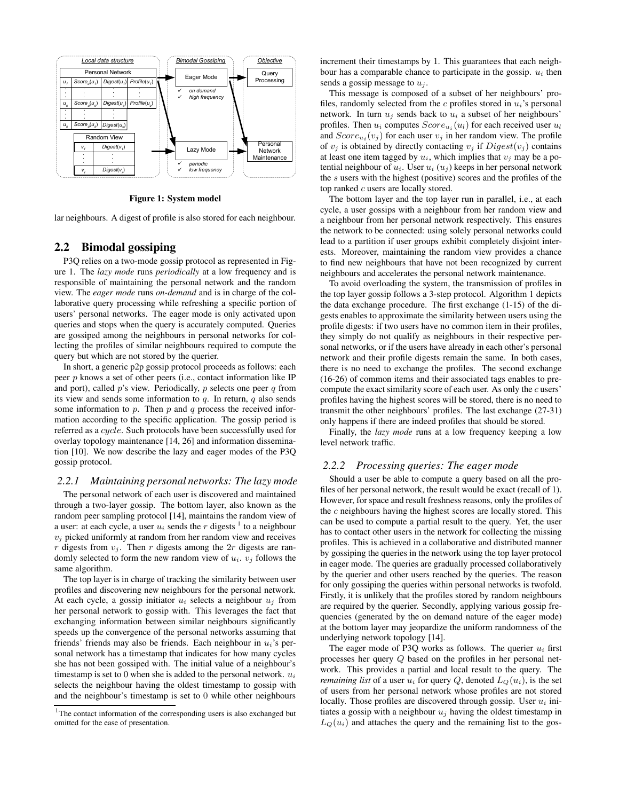

**Figure 1: System model**

lar neighbours. A digest of profile is also stored for each neighbour.

## **2.2 Bimodal gossiping**

P3Q relies on a two-mode gossip protocol as represented in Figure 1. The *lazy mode* runs *periodically* at a low frequency and is responsible of maintaining the personal network and the random view. The *eager mode* runs *on-demand* and is in charge of the collaborative query processing while refreshing a specific portion of users' personal networks. The eager mode is only activated upon queries and stops when the query is accurately computed. Queries are gossiped among the neighbours in personal networks for collecting the profiles of similar neighbours required to compute the query but which are not stored by the querier.

In short, a generic p2p gossip protocol proceeds as follows: each peer  $p$  knows a set of other peers (i.e., contact information like IP and port), called  $p$ 's view. Periodically,  $p$  selects one peer  $q$  from its view and sends some information to  $q$ . In return,  $q$  also sends some information to  $p$ . Then  $p$  and  $q$  process the received information according to the specific application. The gossip period is referred as a cycle. Such protocols have been successfully used for overlay topology maintenance [14, 26] and information dissemination [10]. We now describe the lazy and eager modes of the P3Q gossip protocol.

#### *2.2.1 Maintaining personal networks: The lazy mode*

The personal network of each user is discovered and maintained through a two-layer gossip. The bottom layer, also known as the random peer sampling protocol [14], maintains the random view of a user: at each cycle, a user  $u_i$  sends the r digests <sup>1</sup> to a neighbour  $v_i$  picked uniformly at random from her random view and receives r digests from  $v_i$ . Then r digests among the 2r digests are randomly selected to form the new random view of  $u_i$ .  $v_j$  follows the same algorithm.

The top layer is in charge of tracking the similarity between user profiles and discovering new neighbours for the personal network. At each cycle, a gossip initiator  $u_i$  selects a neighbour  $u_i$  from her personal network to gossip with. This leverages the fact that exchanging information between similar neighbours significantly speeds up the convergence of the personal networks assuming that friends' friends may also be friends. Each neighbour in  $u_i$ 's personal network has a timestamp that indicates for how many cycles she has not been gossiped with. The initial value of a neighbour's timestamp is set to 0 when she is added to the personal network.  $u_i$ selects the neighbour having the oldest timestamp to gossip with and the neighbour's timestamp is set to 0 while other neighbours

increment their timestamps by 1. This guarantees that each neighbour has a comparable chance to participate in the gossip.  $u_i$  then sends a gossip message to  $u_i$ .

This message is composed of a subset of her neighbours' profiles, randomly selected from the c profiles stored in  $u_i$ 's personal network. In turn  $u_i$  sends back to  $u_i$  a subset of her neighbours' profiles. Then  $u_i$  computes  $Score_{u_i}(u_i)$  for each received user  $u_i$ and  $Score_{u_i}(v_j)$  for each user  $v_j$  in her random view. The profile of  $v_i$  is obtained by directly contacting  $v_i$  if  $Digest(v_i)$  contains at least one item tagged by  $u_i$ , which implies that  $v_i$  may be a potential neighbour of  $u_i$ . User  $u_i(u_j)$  keeps in her personal network the s users with the highest (positive) scores and the profiles of the top ranked c users are locally stored.

The bottom layer and the top layer run in parallel, i.e., at each cycle, a user gossips with a neighbour from her random view and a neighbour from her personal network respectively. This ensures the network to be connected: using solely personal networks could lead to a partition if user groups exhibit completely disjoint interests. Moreover, maintaining the random view provides a chance to find new neighbours that have not been recognized by current neighbours and accelerates the personal network maintenance.

To avoid overloading the system, the transmission of profiles in the top layer gossip follows a 3-step protocol. Algorithm 1 depicts the data exchange procedure. The first exchange (1-15) of the digests enables to approximate the similarity between users using the profile digests: if two users have no common item in their profiles, they simply do not qualify as neighbours in their respective personal networks, or if the users have already in each other's personal network and their profile digests remain the same. In both cases, there is no need to exchange the profiles. The second exchange (16-26) of common items and their associated tags enables to precompute the exact similarity score of each user. As only the c users' profiles having the highest scores will be stored, there is no need to transmit the other neighbours' profiles. The last exchange (27-31) only happens if there are indeed profiles that should be stored.

Finally, the *lazy mode* runs at a low frequency keeping a low level network traffic.

#### *2.2.2 Processing queries: The eager mode*

Should a user be able to compute a query based on all the profiles of her personal network, the result would be exact (recall of 1). However, for space and result freshness reasons, only the profiles of the  $c$  neighbours having the highest scores are locally stored. This can be used to compute a partial result to the query. Yet, the user has to contact other users in the network for collecting the missing profiles. This is achieved in a collaborative and distributed manner by gossiping the queries in the network using the top layer protocol in eager mode. The queries are gradually processed collaboratively by the querier and other users reached by the queries. The reason for only gossiping the queries within personal networks is twofold. Firstly, it is unlikely that the profiles stored by random neighbours are required by the querier. Secondly, applying various gossip frequencies (generated by the on demand nature of the eager mode) at the bottom layer may jeopardize the uniform randomness of the underlying network topology [14].

The eager mode of P3Q works as follows. The querier  $u_i$  first processes her query Q based on the profiles in her personal network. This provides a partial and local result to the query. The *remaining list* of a user  $u_i$  for query Q, denoted  $L_Q(u_i)$ , is the set of users from her personal network whose profiles are not stored locally. Those profiles are discovered through gossip. User  $u_i$  initiates a gossip with a neighbour  $u_j$  having the oldest timestamp in  $L<sub>Q</sub>(u<sub>i</sub>)$  and attaches the query and the remaining list to the gos-

<sup>&</sup>lt;sup>1</sup>The contact information of the corresponding users is also exchanged but omitted for the ease of presentation.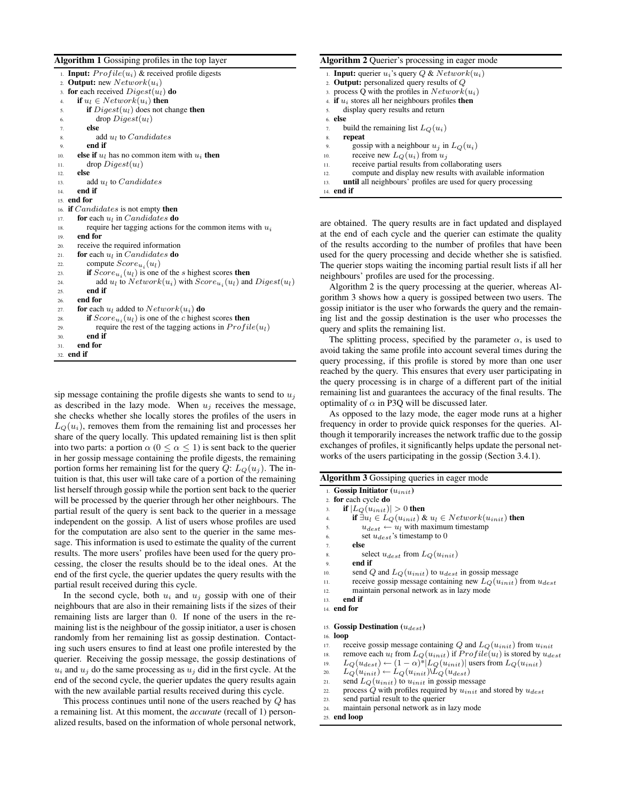**Algorithm 1** Gossiping profiles in the top layer

|                  | 1. <b>Input:</b> $Profit(u_i)$ & received profile digests             |
|------------------|-----------------------------------------------------------------------|
| $\overline{2}$ . | <b>Output:</b> new $Network(u_i)$                                     |
| 3.               | for each received $Digest(u_l)$ do                                    |
| 4.               | if $u_l \in Network(u_i)$ then                                        |
| 5.               | <b>if</b> $Digest(u_l)$ does not change <b>then</b>                   |
| 6.               | $drop\, Digest(u_l)$                                                  |
| 7.               | else                                                                  |
| 8.               | add $u_l$ to <i>Candidates</i>                                        |
| 9.               | end if                                                                |
| 10.              | else if $u_l$ has no common item with $u_i$ then                      |
| 11.              | $drop\, Digest(u_l)$                                                  |
| 12.              | else                                                                  |
| 13.              | add $u_l$ to <i>Candidates</i>                                        |
| 14.              | end if                                                                |
|                  | 15. <b>end for</b>                                                    |
| 16.              | <b>if</b> <i>Candidates</i> is not empty <b>then</b>                  |
| 17.              | <b>for</b> each $u_l$ in <i>Candidates</i> <b>do</b>                  |
| 18.              | require her tagging actions for the common items with $u_i$           |
| 19.              | end for                                                               |
| 20.              | receive the required information                                      |
| 21.              | <b>for</b> each $u_l$ in <i>Candidates</i> <b>do</b>                  |
| 22.              | compute $Score_{u_i}(u_l)$                                            |
| 23.              | if $Score_{u_i}(u_l)$ is one of the <i>s</i> highest scores then      |
| 24.              | add $u_l$ to $Network(u_i)$ with $Score_{u_i}(u_l)$ and $Digest(u_l)$ |
| 25.              | end if                                                                |
| 26.              | end for                                                               |
| 27.              | <b>for</b> each $u_l$ added to $Network(u_i)$ <b>do</b>               |
| 28.              | if $Score_{u_i}(u_l)$ is one of the c highest scores then             |
| 29.              | require the rest of the tagging actions in $Profit(u_l)$              |
| 30.              | end if                                                                |
| 31.              | end for                                                               |
|                  | 32. end if                                                            |

sip message containing the profile digests she wants to send to  $u_i$ as described in the lazy mode. When  $u_j$  receives the message, she checks whether she locally stores the profiles of the users in  $L<sub>Q</sub>(u<sub>i</sub>)$ , removes them from the remaining list and processes her share of the query locally. This updated remaining list is then split into two parts: a portion  $\alpha$  ( $0 \leq \alpha \leq 1$ ) is sent back to the querier in her gossip message containing the profile digests, the remaining portion forms her remaining list for the query  $Q: L<sub>O</sub>(u<sub>i</sub>)$ . The intuition is that, this user will take care of a portion of the remaining list herself through gossip while the portion sent back to the querier will be processed by the querier through her other neighbours. The partial result of the query is sent back to the querier in a message independent on the gossip. A list of users whose profiles are used for the computation are also sent to the querier in the same message. This information is used to estimate the quality of the current results. The more users' profiles have been used for the query processing, the closer the results should be to the ideal ones. At the end of the first cycle, the querier updates the query results with the partial result received during this cycle.

In the second cycle, both  $u_i$  and  $u_j$  gossip with one of their neighbours that are also in their remaining lists if the sizes of their remaining lists are larger than 0. If none of the users in the remaining list is the neighbour of the gossip initiator, a user is chosen randomly from her remaining list as gossip destination. Contacting such users ensures to find at least one profile interested by the querier. Receiving the gossip message, the gossip destinations of  $u_i$  and  $u_j$  do the same processing as  $u_j$  did in the first cycle. At the end of the second cycle, the querier updates the query results again with the new available partial results received during this cycle.

This process continues until none of the users reached by Q has a remaining list. At this moment, the *accurate* (recall of 1) personalized results, based on the information of whole personal network,

### **Algorithm 2** Querier's processing in eager mode

|     | 1. Input: querier $u_i$ 's query $Q$ & $Network(u_i)$               |
|-----|---------------------------------------------------------------------|
|     | 2. <b>Output:</b> personalized query results of $Q$                 |
|     | 3. process Q with the profiles in $Network(u_i)$                    |
|     | 4. <b>if</b> $u_i$ stores all her neighbours profiles <b>then</b>   |
| 5.  | display query results and return                                    |
|     | 6. else                                                             |
| 7.  | build the remaining list $LO(ui)$                                   |
| 8.  | repeat                                                              |
| 9.  | gossip with a neighbour $u_i$ in $L_O(u_i)$                         |
| 10. | receive new $L_O(u_i)$ from $u_i$                                   |
| 11. | receive partial results from collaborating users                    |
| 12. | compute and display new results with available information          |
| 13. | <b>until</b> all neighbours' profiles are used for query processing |
|     | 14. <b>end if</b>                                                   |

are obtained. The query results are in fact updated and displayed at the end of each cycle and the querier can estimate the quality of the results according to the number of profiles that have been used for the query processing and decide whether she is satisfied. The querier stops waiting the incoming partial result lists if all her neighbours' profiles are used for the processing.

Algorithm 2 is the query processing at the querier, whereas Algorithm 3 shows how a query is gossiped between two users. The gossip initiator is the user who forwards the query and the remaining list and the gossip destination is the user who processes the query and splits the remaining list.

The splitting process, specified by the parameter  $\alpha$ , is used to avoid taking the same profile into account several times during the query processing, if this profile is stored by more than one user reached by the query. This ensures that every user participating in the query processing is in charge of a different part of the initial remaining list and guarantees the accuracy of the final results. The optimality of  $\alpha$  in P3O will be discussed later.

As opposed to the lazy mode, the eager mode runs at a higher frequency in order to provide quick responses for the queries. Although it temporarily increases the network traffic due to the gossip exchanges of profiles, it significantly helps update the personal networks of the users participating in the gossip (Section 3.4.1).

| <b>Algorithm 3</b> Gossiping queries in eager mode |  |  |  |
|----------------------------------------------------|--|--|--|
|                                                    |  |  |  |
|                                                    |  |  |  |

|     | 1. <b>Gossip Initiator</b> $(u_{init})$                                            |
|-----|------------------------------------------------------------------------------------|
|     | 2. for each cycle do                                                               |
| 3.  | if $ L_O(u_{init})  > 0$ then                                                      |
| 4.  | if $\exists u_l \in L_O(u_{init})$ & $u_l \in Network(u_{init})$ then              |
| 5.  | $u_{dest} \leftarrow u_l$ with maximum timestamp                                   |
| 6.  | set $u_{dest}$ 's timestamp to 0                                                   |
| 7.  | else                                                                               |
| 8.  | select $u_{dest}$ from $L_O(u_{init})$                                             |
| 9.  | end if                                                                             |
| 10. | send Q and $L_O(u_{init})$ to $u_{dest}$ in gossip message                         |
| 11. | receive gossip message containing new $L_0(u_{init})$ from $u_{dest}$              |
| 12. | maintain personal network as in lazy mode                                          |
| 13. | end if                                                                             |
|     | 14. <b>end for</b>                                                                 |
|     |                                                                                    |
|     | 15. Gossip Destination $(u_{dest})$                                                |
|     | 16. <b>loop</b>                                                                    |
| 17. | receive gossip message containing Q and $L_0(u_{init})$ from $u_{init}$            |
| 18. | remove each $u_l$ from $L_O(u_{init})$ if $Profile(u_l)$ is stored by $u_{dest}$   |
| 19. | $L_O(u_{dest}) \leftarrow (1-\alpha)^*  L_O(u_{init}) $ users from $L_O(u_{init})$ |
| 20. | $L_O(u_{init}) \leftarrow L_O(u_{init}) \backslash L_O(u_{dest})$                  |
|     |                                                                                    |

21. send  $L_Q(u_{init})$  to  $u_{init}$  in gossip message

- 
- 22. process Q with profiles required by  $u_{init}$  and stored by  $u_{dest}$ <br>23. send partial result to the querier send partial result to the querier
- 24. maintain personal network as in lazy mode

25. **end loop**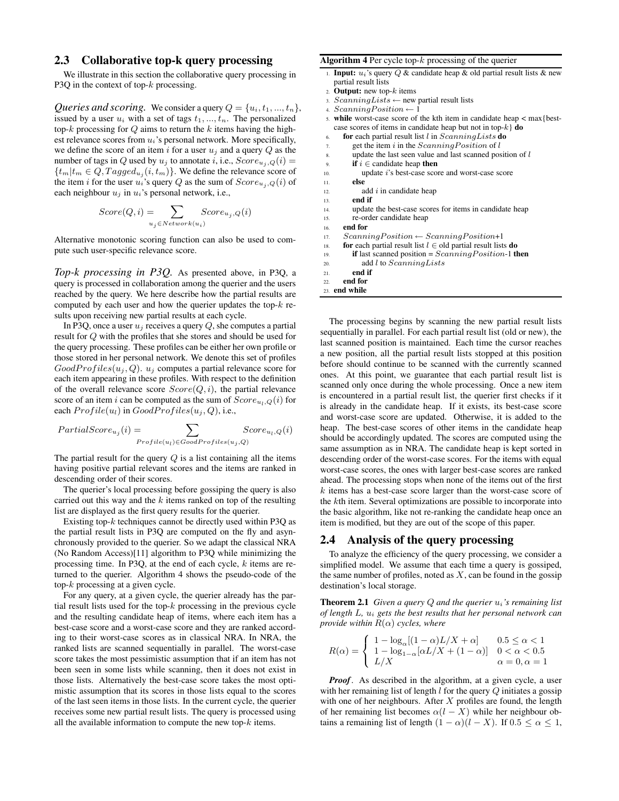## **2.3 Collaborative top-k query processing**

We illustrate in this section the collaborative query processing in P3Q in the context of top- $k$  processing.

*Queries and scoring.* We consider a query  $Q = \{u_i, t_1, ..., t_n\}$ , issued by a user  $u_i$  with a set of tags  $t_1, ..., t_n$ . The personalized top-k processing for  $Q$  aims to return the k items having the highest relevance scores from  $u_i$ 's personal network. More specifically, we define the score of an item i for a user  $u_j$  and a query  $Q$  as the number of tags in Q used by  $u_j$  to annotate i, i.e.,  $Score_{u_j,Q}(i)$  =  ${t_m | t_m \in Q, Tagged_{u_j}(i, t_m)}$ . We define the relevance score of the item i for the user  $u_i$ 's query Q as the sum of  $Score_{u_i,Q}(i)$  of each neighbour  $u_j$  in  $u_i$ 's personal network, i.e.,

$$
Score(Q, i) = \sum_{u_j \in Network(u_i)} Score_{u_j, Q}(i)
$$

Alternative monotonic scoring function can also be used to compute such user-specific relevance score.

*Top-k processing in P3Q.* As presented above, in P3Q, a query is processed in collaboration among the querier and the users reached by the query. We here describe how the partial results are computed by each user and how the querier updates the top- $k$  results upon receiving new partial results at each cycle.

In P3Q, once a user  $u_i$  receives a query  $Q$ , she computes a partial result for Q with the profiles that she stores and should be used for the query processing. These profiles can be either her own profile or those stored in her personal network. We denote this set of profiles  $GoodProfiles(u<sub>i</sub>, Q)$ .  $u<sub>i</sub>$  computes a partial relevance score for each item appearing in these profiles. With respect to the definition of the overall relevance score  $Score(Q, i)$ , the partial relevance score of an item *i* can be computed as the sum of  $Score_{u_l,Q}(i)$  for each  $Profit(u_l)$  in  $GoodProfiles(u_i, Q)$ , i.e.,

$$
PartialScore_{u_j}(i) = \sum_{Project(u) \in GoodProfiles(u_j,Q)} Score_{u_l,Q}(i)
$$

The partial result for the query  $Q$  is a list containing all the items having positive partial relevant scores and the items are ranked in descending order of their scores.

The querier's local processing before gossiping the query is also carried out this way and the  $k$  items ranked on top of the resulting list are displayed as the first query results for the querier.

Existing top- $k$  techniques cannot be directly used within P3Q as the partial result lists in P3Q are computed on the fly and asynchronously provided to the querier. So we adapt the classical NRA (No Random Access)[11] algorithm to P3Q while minimizing the processing time. In P3Q, at the end of each cycle, k items are returned to the querier. Algorithm 4 shows the pseudo-code of the top-k processing at a given cycle.

For any query, at a given cycle, the querier already has the partial result lists used for the top- $k$  processing in the previous cycle and the resulting candidate heap of items, where each item has a best-case score and a worst-case score and they are ranked according to their worst-case scores as in classical NRA. In NRA, the ranked lists are scanned sequentially in parallel. The worst-case score takes the most pessimistic assumption that if an item has not been seen in some lists while scanning, then it does not exist in those lists. Alternatively the best-case score takes the most optimistic assumption that its scores in those lists equal to the scores of the last seen items in those lists. In the current cycle, the querier receives some new partial result lists. The query is processed using all the available information to compute the new top- $k$  items.

#### **Algorithm 4** Per cycle top-k processing of the querier

- **Input:**  $u_i$ 's query  $Q$  & candidate heap & old partial result lists & new partial result lists
- 2. **Output:** new top-k items
- 3.  $Scanning Lists \leftarrow new partial result lists$
- $Scanning Position \leftarrow 1$
- 5. **while** worst-case score of the kth item in candidate heap < max{bestcase scores of items in candidate heap but not in top-k} **do**
- 6. **for** each partial result list l in ScanningLists **do**
- 7. get the item  $i$  in the  $Scanning Position$  of  $l$
- $8.$  update the last seen value and last scanned position of  $l$
- 9. **if**  $i \in$  candidate heap **then**
- 10. update i's best-case score and worst-case score
- 11. **else**
- 12.  $\qquad \qquad \text{add } i \text{ in candidate heap}$
- 13. **end if**
- 14. update the best-case scores for items in candidate heap
- 15. re-order candidate heap

```
16. end for
```
- 17.  $Scanning Position \leftarrow Scanning Position + 1$
- 18. **for** each partial result list  $l \in$  old partial result lists **do**
- 19. **if** last scanned position =  $Scanning Position-1$  **then**
- 20. add l to ScanningLists
- 21. **end if**
- 22. **end for**

23. **end while**

The processing begins by scanning the new partial result lists sequentially in parallel. For each partial result list (old or new), the last scanned position is maintained. Each time the cursor reaches a new position, all the partial result lists stopped at this position before should continue to be scanned with the currently scanned ones. At this point, we guarantee that each partial result list is scanned only once during the whole processing. Once a new item is encountered in a partial result list, the querier first checks if it is already in the candidate heap. If it exists, its best-case score and worst-case score are updated. Otherwise, it is added to the heap. The best-case scores of other items in the candidate heap should be accordingly updated. The scores are computed using the same assumption as in NRA. The candidate heap is kept sorted in descending order of the worst-case scores. For the items with equal worst-case scores, the ones with larger best-case scores are ranked ahead. The processing stops when none of the items out of the first k items has a best-case score larger than the worst-case score of the kth item. Several optimizations are possible to incorporate into the basic algorithm, like not re-ranking the candidate heap once an item is modified, but they are out of the scope of this paper.

## **2.4 Analysis of the query processing**

To analyze the efficiency of the query processing, we consider a simplified model. We assume that each time a query is gossiped, the same number of profiles, noted as  $X$ , can be found in the gossip destination's local storage.

**Theorem 2.1** *Given a query* Q *and the querier* ui*'s remaining list of length* L*,* u<sup>i</sup> *gets the best results that her personal network can provide within* R(α) *cycles, where*

$$
R(\alpha) = \begin{cases} 1 - \log_{\alpha}[(1 - \alpha)L/X + \alpha] & 0.5 \leq \alpha < 1 \\ 1 - \log_{1 - \alpha}[\alpha L/X + (1 - \alpha)] & 0 < \alpha < 0.5 \\ L/X & \alpha = 0, \alpha = 1 \end{cases}
$$

*Proof.* As described in the algorithm, at a given cycle, a user with her remaining list of length  $l$  for the query  $Q$  initiates a gossip with one of her neighbours. After  $X$  profiles are found, the length of her remaining list becomes  $\alpha(l - X)$  while her neighbour obtains a remaining list of length  $(1 - \alpha)(l - X)$ . If  $0.5 \leq \alpha \leq 1$ ,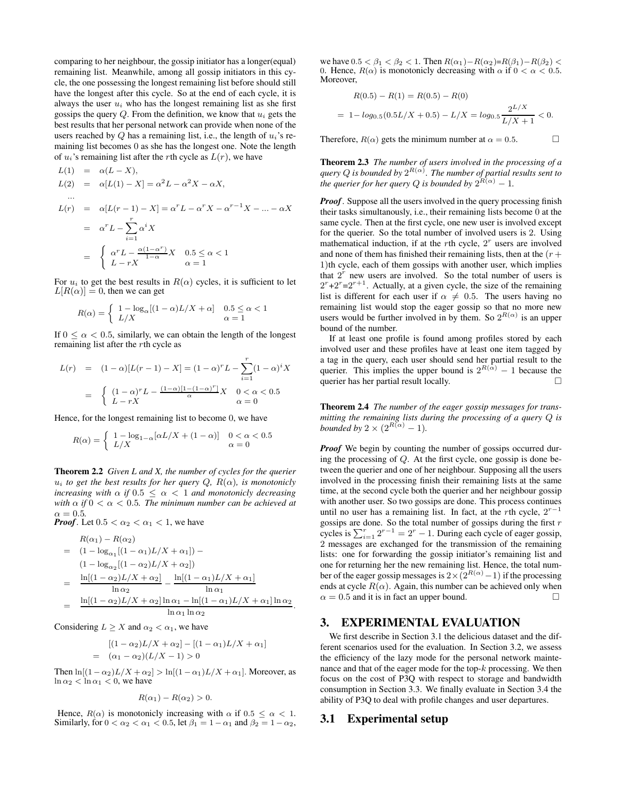comparing to her neighbour, the gossip initiator has a longer(equal) remaining list. Meanwhile, among all gossip initiators in this cycle, the one possessing the longest remaining list before should still have the longest after this cycle. So at the end of each cycle, it is always the user  $u_i$  who has the longest remaining list as she first gossips the query  $Q$ . From the definition, we know that  $u_i$  gets the best results that her personal network can provide when none of the users reached by Q has a remaining list, i.e., the length of  $u_i$ 's remaining list becomes 0 as she has the longest one. Note the length of  $u_i$ 's remaining list after the *r*th cycle as  $L(r)$ , we have

$$
L(1) = \alpha(L - X),
$$
  
\n
$$
L(2) = \alpha[L(1) - X] = \alpha^2 L - \alpha^2 X - \alpha X,
$$
  
\n...\n
$$
L(r) = \alpha[L(r - 1) - X] = \alpha^r L - \alpha^r X - \alpha^{r-1} X - \dots - \alpha X
$$
  
\n
$$
= \alpha^r L - \sum_{i=1}^r \alpha^i X
$$
  
\n
$$
= \begin{cases} \alpha^r L - \frac{\alpha(1 - \alpha^r)}{1 - \alpha} X & 0.5 \le \alpha < 1 \\ L - rX & \alpha = 1 \end{cases}
$$

For  $u_i$  to get the best results in  $R(\alpha)$  cycles, it is sufficient to let  $L[R(\alpha)] \equiv 0$ , then we can get

$$
R(\alpha) = \left\{ \begin{array}{ll} 1 - \log_{\alpha}[(1-\alpha)L/X + \alpha] & 0.5 \leq \alpha < 1 \\ L/X & \alpha = 1 \end{array} \right.
$$

If  $0 \le \alpha < 0.5$ , similarly, we can obtain the length of the longest remaining list after the rth cycle as

$$
L(r) = (1 - \alpha)[L(r - 1) - X] = (1 - \alpha)^r L - \sum_{i=1}^r (1 - \alpha)^i X
$$
  
= 
$$
\begin{cases} (1 - \alpha)^r L - \frac{(1 - \alpha)[1 - (1 - \alpha)^r]}{\alpha} X & 0 < \alpha < 0.5 \\ L - rX & \alpha = 0 \end{cases}
$$

Hence, for the longest remaining list to become 0, we have

$$
R(\alpha) = \begin{cases} 1 - \log_{1-\alpha}[\alpha L/X + (1-\alpha)] & 0 < \alpha < 0.5 \\ L/X & \alpha = 0 \end{cases}
$$

**Theorem 2.2** *Given L and X, the number of cycles for the querier*  $u_i$  *to get the best results for her query*  $Q$ ,  $R(\alpha)$ *, is monotonicly increasing with*  $\alpha$  *if*  $0.5 \leq \alpha < 1$  *and monotonicly decreasing with*  $\alpha$  *if*  $0 < \alpha < 0.5$ *. The minimum number can be achieved at*  $\alpha = 0.5$ .

*Proof.* Let  $0.5 < \alpha_2 < \alpha_1 < 1$ , we have

$$
R(\alpha_1) - R(\alpha_2)
$$
  
=  $(1 - \log_{\alpha_1}[(1 - \alpha_1)L/X + \alpha_1]) -$   
 $(1 - \log_{\alpha_2}[(1 - \alpha_2)L/X + \alpha_2])$   
=  $\frac{\ln[(1 - \alpha_2)L/X + \alpha_2]}{\ln \alpha_2} - \frac{\ln[(1 - \alpha_1)L/X + \alpha_1]}{\ln \alpha_1}$   
=  $\frac{\ln[(1 - \alpha_2)L/X + \alpha_2] \ln \alpha_1 - \ln[(1 - \alpha_1)L/X + \alpha_1] \ln \alpha_2}{\ln \alpha_1 \ln \alpha_2}.$ 

Considering  $L \geq X$  and  $\alpha_2 < \alpha_1$ , we have

$$
[(1 - \alpha_2)L/X + \alpha_2] - [(1 - \alpha_1)L/X + \alpha_1]
$$
  
= (\alpha\_1 - \alpha\_2)(L/X - 1) > 0

Then  $\ln[(1-\alpha_2)L/X + \alpha_2] > \ln[(1-\alpha_1)L/X + \alpha_1]$ . Moreover, as  $\ln \alpha_2 < \ln \alpha_1 < 0$ , we have

$$
R(\alpha_1) - R(\alpha_2) > 0.
$$

Hence,  $R(\alpha)$  is monotonicly increasing with  $\alpha$  if  $0.5 \leq \alpha < 1$ . Similarly, for  $0 < \alpha_2 < \alpha_1 < 0.5$ , let  $\beta_1 = 1 - \alpha_1$  and  $\beta_2 = 1 - \alpha_2$ ,

we have  $0.5 < \beta_1 < \beta_2 < 1$ . Then  $R(\alpha_1) - R(\alpha_2) = R(\beta_1) - R(\beta_2)$ 0. Hence,  $R(\alpha)$  is monotonicly decreasing with  $\alpha$  if  $0 < \alpha < 0.5$ . Moreover,

$$
R(0.5) - R(1) = R(0.5) - R(0)
$$
  
= 1 - log<sub>0.5</sub>(0.5L/X + 0.5) - L/X = log<sub>0.5</sub>  $\frac{2^{L/X}}{L/X + 1} < 0$ .

Therefore,  $R(\alpha)$  gets the minimum number at  $\alpha = 0.5$ .

**Theorem 2.3** *The number of users involved in the processing of a* query  $Q$  is bounded by  $2^{R(\alpha)}$ . The number of partial results sent to *the querier for her query*  $Q$  *is bounded by*  $2^{R(\alpha)} - 1$ *.* 

*Proof*. Suppose all the users involved in the query processing finish their tasks simultanously, i.e., their remaining lists become 0 at the same cycle. Then at the first cycle, one new user is involved except for the querier. So the total number of involved users is 2. Using mathematical induction, if at the rth cycle,  $2<sup>r</sup>$  users are involved and none of them has finished their remaining lists, then at the  $(r +$ 1)th cycle, each of them gossips with another user, which implies that  $2<sup>r</sup>$  new users are involved. So the total number of users is  $2^{r}+2^{r}=2^{r+1}$ . Actually, at a given cycle, the size of the remaining list is different for each user if  $\alpha \neq 0.5$ . The users having no remaining list would stop the eager gossip so that no more new users would be further involved in by them. So  $2^{R(\alpha)}$  is an upper bound of the number.

If at least one profile is found among profiles stored by each involved user and these profiles have at least one item tagged by a tag in the query, each user should send her partial result to the querier. This implies the upper bound is  $2^{R(\alpha)} - 1$  because the querier has her partial result locally.

**Theorem 2.4** *The number of the eager gossip messages for transmitting the remaining lists during the processing of a query* Q *is bounded by*  $2 \times (2^{R(\alpha)} - 1)$ *.* 

*Proof* We begin by counting the number of gossips occurred during the processing of  $Q$ . At the first cycle, one gossip is done between the querier and one of her neighbour. Supposing all the users involved in the processing finish their remaining lists at the same time, at the second cycle both the querier and her neighbour gossip with another user. So two gossips are done. This process continues until no user has a remaining list. In fact, at the rth cycle,  $2^{r-1}$ gossips are done. So the total number of gossips during the first  $r$ cycles is  $\sum_{i=1}^{r} 2^{r-1} = 2^r - 1$ . During each cycle of eager gossip, 2 messages are exchanged for the transmission of the remaining lists: one for forwarding the gossip initiator's remaining list and one for returning her the new remaining list. Hence, the total number of the eager gossip messages is  $2\times(2^{R(\alpha)}-1)$  if the processing ends at cycle  $R(\alpha)$ . Again, this number can be achieved only when  $\alpha = 0.5$  and it is in fact an upper bound.

## **3. EXPERIMENTAL EVALUATION**

We first describe in Section 3.1 the delicious dataset and the different scenarios used for the evaluation. In Section 3.2, we assess the efficiency of the lazy mode for the personal network maintenance and that of the eager mode for the top- $k$  processing. We then focus on the cost of P3Q with respect to storage and bandwidth consumption in Section 3.3. We finally evaluate in Section 3.4 the ability of P3Q to deal with profile changes and user departures.

#### **3.1 Experimental setup**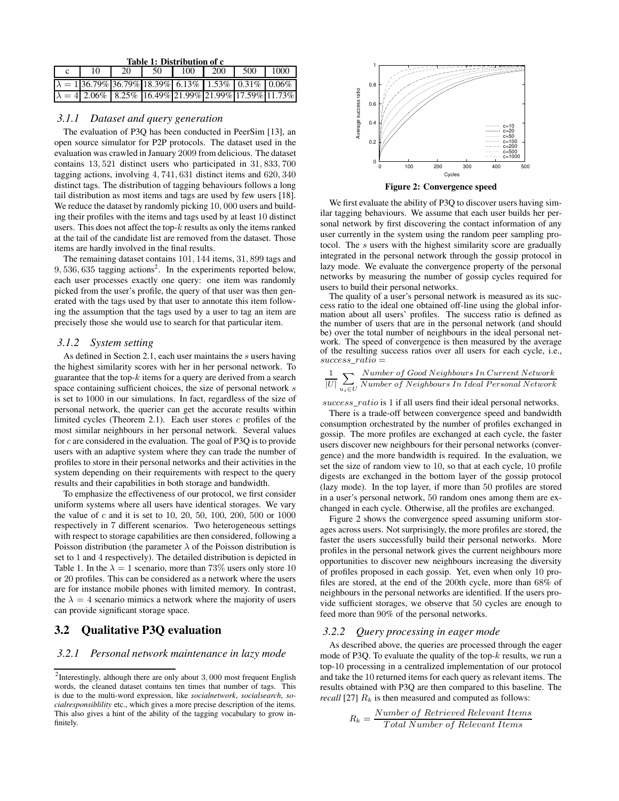| Table 1: Distribution of c |  |                                                              |    |      |     |     |      |
|----------------------------|--|--------------------------------------------------------------|----|------|-----|-----|------|
|                            |  | 20                                                           | 50 | -100 | 200 | 500 | 1000 |
|                            |  | $\lambda = 136.79\%$ 36.79% 18.39% 6.13% 1.53% 0.31% 0.06%   |    |      |     |     |      |
|                            |  | $\lambda = 4$ 2.06% 8.25% 16.49% 21.99% 21.99% 17.59% 11.73% |    |      |     |     |      |

## *3.1.1 Dataset and query generation*

The evaluation of P3Q has been conducted in PeerSim [13], an open source simulator for P2P protocols. The dataset used in the evaluation was crawled in January 2009 from delicious. The dataset contains 13, 521 distinct users who participated in 31, 833, 700 tagging actions, involving 4, 741, 631 distinct items and 620, 340 distinct tags. The distribution of tagging behaviours follows a long tail distribution as most items and tags are used by few users [18]. We reduce the dataset by randomly picking 10, 000 users and building their profiles with the items and tags used by at least 10 distinct users. This does not affect the top- $k$  results as only the items ranked at the tail of the candidate list are removed from the dataset. Those items are hardly involved in the final results.

The remaining dataset contains 101, 144 items, 31, 899 tags and  $9,536,635$  tagging actions<sup>2</sup>. In the experiments reported below, each user processes exactly one query: one item was randomly picked from the user's profile, the query of that user was then generated with the tags used by that user to annotate this item following the assumption that the tags used by a user to tag an item are precisely those she would use to search for that particular item.

#### *3.1.2 System setting*

As defined in Section 2.1, each user maintains the  $s$  users having the highest similarity scores with her in her personal network. To guarantee that the top- $k$  items for a query are derived from a search space containing sufficient choices, the size of personal network s is set to 1000 in our simulations. In fact, regardless of the size of personal network, the querier can get the accurate results within limited cycles (Theorem 2.1). Each user stores  $c$  profiles of the most similar neighbours in her personal network. Several values for c are considered in the evaluation. The goal of P3Q is to provide users with an adaptive system where they can trade the number of profiles to store in their personal networks and their activities in the system depending on their requirements with respect to the query results and their capabilities in both storage and bandwidth.

To emphasize the effectiveness of our protocol, we first consider uniform systems where all users have identical storages. We vary the value of  $c$  and it is set to 10, 20, 50, 100, 200, 500 or 1000 respectively in 7 different scenarios. Two heterogeneous settings with respect to storage capabilities are then considered, following a Poisson distribution (the parameter  $\lambda$  of the Poisson distribution is set to 1 and 4 respectively). The detailed distribution is depicted in Table 1. In the  $\lambda = 1$  scenario, more than 73% users only store 10 or 20 profiles. This can be considered as a network where the users are for instance mobile phones with limited memory. In contrast, the  $\lambda = 4$  scenario mimics a network where the majority of users can provide significant storage space.

## **3.2 Qualitative P3Q evaluation**

#### *3.2.1 Personal network maintenance in lazy mode*



**Figure 2: Convergence speed**

We first evaluate the ability of P3Q to discover users having similar tagging behaviours. We assume that each user builds her personal network by first discovering the contact information of any user currently in the system using the random peer sampling protocol. The s users with the highest similarity score are gradually integrated in the personal network through the gossip protocol in lazy mode. We evaluate the convergence property of the personal networks by measuring the number of gossip cycles required for users to build their personal networks.

The quality of a user's personal network is measured as its success ratio to the ideal one obtained off-line using the global information about all users' profiles. The success ratio is defined as the number of users that are in the personal network (and should be) over the total number of neighbours in the ideal personal network. The speed of convergence is then measured by the average of the resulting success ratios over all users for each cycle, i.e.,  $success\_ratio =$ 

$$
\frac{1}{|U|} \sum_{u_i \in U} \frac{Number\ of\ Good\ Neighbors\ In\ Current\ Network}{Number\ of\ Neighbors\ In\ Ideal\ Personal\ Network}
$$

success\_ratio is 1 if all users find their ideal personal networks.

There is a trade-off between convergence speed and bandwidth consumption orchestrated by the number of profiles exchanged in gossip. The more profiles are exchanged at each cycle, the faster users discover new neighbours for their personal networks (convergence) and the more bandwidth is required. In the evaluation, we set the size of random view to 10, so that at each cycle, 10 profile digests are exchanged in the bottom layer of the gossip protocol (lazy mode). In the top layer, if more than 50 profiles are stored in a user's personal network, 50 random ones among them are exchanged in each cycle. Otherwise, all the profiles are exchanged.

Figure 2 shows the convergence speed assuming uniform storages across users. Not surprisingly, the more profiles are stored, the faster the users successfully build their personal networks. More profiles in the personal network gives the current neighbours more opportunities to discover new neighbours increasing the diversity of profiles proposed in each gossip. Yet, even when only 10 profiles are stored, at the end of the 200th cycle, more than 68% of neighbours in the personal networks are identified. If the users provide sufficient storages, we observe that 50 cycles are enough to feed more than 90% of the personal networks.

#### *3.2.2 Query processing in eager mode*

As described above, the queries are processed through the eager mode of P3Q. To evaluate the quality of the top- $k$  results, we run a top-10 processing in a centralized implementation of our protocol and take the 10 returned items for each query as relevant items. The results obtained with P3Q are then compared to this baseline. The *recall* [27]  $R_k$  is then measured and computed as follows:

$$
R_k = \frac{Number\ of\ Retrieved\ Relevant\ Items}{Total\ Number\ of\ Relevant\ Items}
$$

<sup>&</sup>lt;sup>2</sup>Interestingly, although there are only about  $3,000$  most frequent English words, the cleaned dataset contains ten times that number of tags. This is due to the multi-word expression, like *socialnetwork*, *socialsearch*, *socialresponsiblility* etc., which gives a more precise description of the items. This also gives a hint of the ability of the tagging vocabulary to grow infinitely.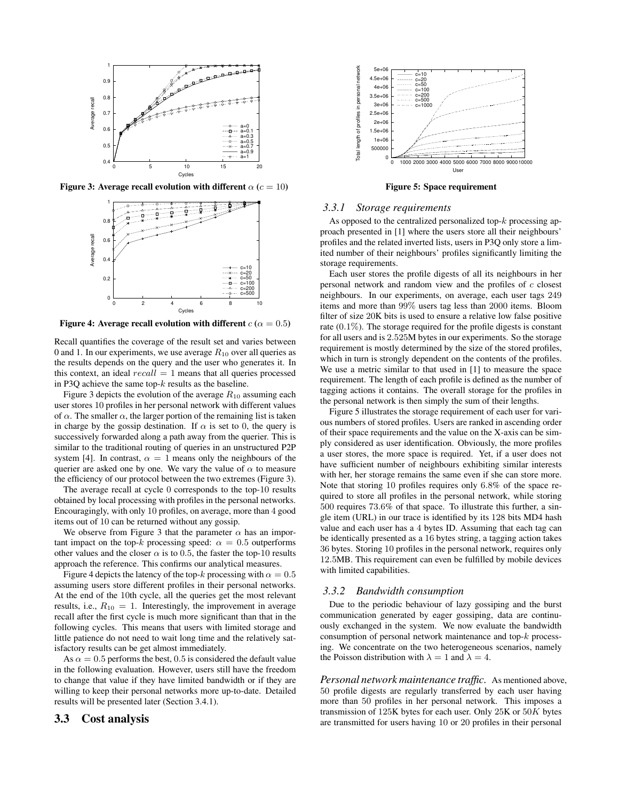

**Figure 3: Average recall evolution with different**  $\alpha$  ( $c = 10$ )



**Figure 4:** Average recall evolution with different  $c(\alpha = 0.5)$ 

Recall quantifies the coverage of the result set and varies between 0 and 1. In our experiments, we use average  $R_{10}$  over all queries as the results depends on the query and the user who generates it. In this context, an ideal  $recall = 1$  means that all queries processed in P3Q achieve the same top- $k$  results as the baseline.

Figure 3 depicts the evolution of the average  $R_{10}$  assuming each user stores 10 profiles in her personal network with different values of  $\alpha$ . The smaller  $\alpha$ , the larger portion of the remaining list is taken in charge by the gossip destination. If  $\alpha$  is set to 0, the query is successively forwarded along a path away from the querier. This is similar to the traditional routing of queries in an unstructured P2P system [4]. In contrast,  $\alpha = 1$  means only the neighbours of the querier are asked one by one. We vary the value of  $\alpha$  to measure the efficiency of our protocol between the two extremes (Figure 3).

The average recall at cycle 0 corresponds to the top-10 results obtained by local processing with profiles in the personal networks. Encouragingly, with only 10 profiles, on average, more than 4 good items out of 10 can be returned without any gossip.

We observe from Figure 3 that the parameter  $\alpha$  has an important impact on the top-k processing speed:  $\alpha = 0.5$  outperforms other values and the closer  $\alpha$  is to 0.5, the faster the top-10 results approach the reference. This confirms our analytical measures.

Figure 4 depicts the latency of the top-k processing with  $\alpha = 0.5$ assuming users store different profiles in their personal networks. At the end of the 10th cycle, all the queries get the most relevant results, i.e.,  $R_{10} = 1$ . Interestingly, the improvement in average recall after the first cycle is much more significant than that in the following cycles. This means that users with limited storage and little patience do not need to wait long time and the relatively satisfactory results can be get almost immediately.

As  $\alpha = 0.5$  performs the best, 0.5 is considered the default value in the following evaluation. However, users still have the freedom to change that value if they have limited bandwidth or if they are willing to keep their personal networks more up-to-date. Detailed results will be presented later (Section 3.4.1).

### **3.3 Cost analysis**



**Figure 5: Space requirement**

#### *3.3.1 Storage requirements*

As opposed to the centralized personalized top- $k$  processing approach presented in [1] where the users store all their neighbours' profiles and the related inverted lists, users in P3Q only store a limited number of their neighbours' profiles significantly limiting the storage requirements.

Each user stores the profile digests of all its neighbours in her personal network and random view and the profiles of c closest neighbours. In our experiments, on average, each user tags 249 items and more than 99% users tag less than 2000 items. Bloom filter of size 20K bits is used to ensure a relative low false positive rate (0.1%). The storage required for the profile digests is constant for all users and is 2.525M bytes in our experiments. So the storage requirement is mostly determined by the size of the stored profiles, which in turn is strongly dependent on the contents of the profiles. We use a metric similar to that used in [1] to measure the space requirement. The length of each profile is defined as the number of tagging actions it contains. The overall storage for the profiles in the personal network is then simply the sum of their lengths.

Figure 5 illustrates the storage requirement of each user for various numbers of stored profiles. Users are ranked in ascending order of their space requirements and the value on the X-axis can be simply considered as user identification. Obviously, the more profiles a user stores, the more space is required. Yet, if a user does not have sufficient number of neighbours exhibiting similar interests with her, her storage remains the same even if she can store more. Note that storing 10 profiles requires only 6.8% of the space required to store all profiles in the personal network, while storing 500 requires 73.6% of that space. To illustrate this further, a single item (URL) in our trace is identified by its 128 bits MD4 hash value and each user has a 4 bytes ID. Assuming that each tag can be identically presented as a 16 bytes string, a tagging action takes 36 bytes. Storing 10 profiles in the personal network, requires only 12.5MB. This requirement can even be fulfilled by mobile devices with limited capabilities.

#### *3.3.2 Bandwidth consumption*

Due to the periodic behaviour of lazy gossiping and the burst communication generated by eager gossiping, data are continuously exchanged in the system. We now evaluate the bandwidth consumption of personal network maintenance and top-k processing. We concentrate on the two heterogeneous scenarios, namely the Poisson distribution with  $\lambda = 1$  and  $\lambda = 4$ .

*Personal network maintenance traffic.* As mentioned above, 50 profile digests are regularly transferred by each user having more than 50 profiles in her personal network. This imposes a transmission of 125K bytes for each user. Only  $25K$  or  $50K$  bytes are transmitted for users having 10 or 20 profiles in their personal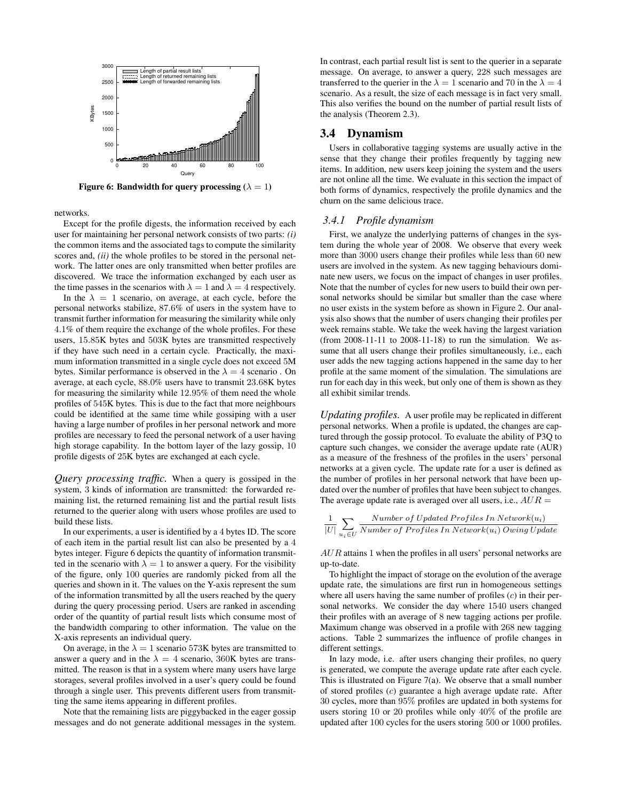

**Figure 6: Bandwidth for query processing (** $\lambda = 1$ **)** 

networks.

Except for the profile digests, the information received by each user for maintaining her personal network consists of two parts: *(i)* the common items and the associated tags to compute the similarity scores and, *(ii)* the whole profiles to be stored in the personal network. The latter ones are only transmitted when better profiles are discovered. We trace the information exchanged by each user as the time passes in the scenarios with  $\lambda = 1$  and  $\lambda = 4$  respectively.

In the  $\lambda = 1$  scenario, on average, at each cycle, before the personal networks stabilize, 87.6% of users in the system have to transmit further information for measuring the similarity while only 4.1% of them require the exchange of the whole profiles. For these users, 15.85K bytes and 503K bytes are transmitted respectively if they have such need in a certain cycle. Practically, the maximum information transmitted in a single cycle does not exceed 5M bytes. Similar performance is observed in the  $\lambda = 4$  scenario. On average, at each cycle, 88.0% users have to transmit 23.68K bytes for measuring the similarity while 12.95% of them need the whole profiles of 545K bytes. This is due to the fact that more neighbours could be identified at the same time while gossiping with a user having a large number of profiles in her personal network and more profiles are necessary to feed the personal network of a user having high storage capability. In the bottom layer of the lazy gossip, 10 profile digests of 25K bytes are exchanged at each cycle.

*Query processing traffic.* When a query is gossiped in the system, 3 kinds of information are transmitted: the forwarded remaining list, the returned remaining list and the partial result lists returned to the querier along with users whose profiles are used to build these lists.

In our experiments, a user is identified by a 4 bytes ID. The score of each item in the partial result list can also be presented by a 4 bytes integer. Figure 6 depicts the quantity of information transmitted in the scenario with  $\lambda = 1$  to answer a query. For the visibility of the figure, only 100 queries are randomly picked from all the queries and shown in it. The values on the Y-axis represent the sum of the information transmitted by all the users reached by the query during the query processing period. Users are ranked in ascending order of the quantity of partial result lists which consume most of the bandwidth comparing to other information. The value on the X-axis represents an individual query.

On average, in the  $\lambda = 1$  scenario 573K bytes are transmitted to answer a query and in the  $\lambda = 4$  scenario, 360K bytes are transmitted. The reason is that in a system where many users have large storages, several profiles involved in a user's query could be found through a single user. This prevents different users from transmitting the same items appearing in different profiles.

Note that the remaining lists are piggybacked in the eager gossip messages and do not generate additional messages in the system.

In contrast, each partial result list is sent to the querier in a separate message. On average, to answer a query, 228 such messages are transferred to the querier in the  $\lambda = 1$  scenario and 70 in the  $\lambda = 4$ scenario. As a result, the size of each message is in fact very small. This also verifies the bound on the number of partial result lists of the analysis (Theorem 2.3).

## **3.4 Dynamism**

Users in collaborative tagging systems are usually active in the sense that they change their profiles frequently by tagging new items. In addition, new users keep joining the system and the users are not online all the time. We evaluate in this section the impact of both forms of dynamics, respectively the profile dynamics and the churn on the same delicious trace.

#### *3.4.1 Profile dynamism*

First, we analyze the underlying patterns of changes in the system during the whole year of 2008. We observe that every week more than 3000 users change their profiles while less than 60 new users are involved in the system. As new tagging behaviours dominate new users, we focus on the impact of changes in user profiles. Note that the number of cycles for new users to build their own personal networks should be similar but smaller than the case where no user exists in the system before as shown in Figure 2. Our analysis also shows that the number of users changing their profiles per week remains stable. We take the week having the largest variation (from 2008-11-11 to 2008-11-18) to run the simulation. We assume that all users change their profiles simultaneously, i.e., each user adds the new tagging actions happened in the same day to her profile at the same moment of the simulation. The simulations are run for each day in this week, but only one of them is shown as they all exhibit similar trends.

*Updating profiles.* A user profile may be replicated in different personal networks. When a profile is updated, the changes are captured through the gossip protocol. To evaluate the ability of P3Q to capture such changes, we consider the average update rate (AUR) as a measure of the freshness of the profiles in the users' personal networks at a given cycle. The update rate for a user is defined as the number of profiles in her personal network that have been updated over the number of profiles that have been subject to changes. The average update rate is averaged over all users, i.e.,  $AUR =$ 

$$
\frac{1}{|U|}\sum_{u_i \in U}\frac{Number\ of\ Updated\ Profiles\ In\ Network(u_i)}{Number\ of\ Profiles\ In\ Network(u_i)\ Owing\ Update}
$$

 $AUR$  attains 1 when the profiles in all users' personal networks are up-to-date.

To highlight the impact of storage on the evolution of the average update rate, the simulations are first run in homogeneous settings where all users having the same number of profiles  $(c)$  in their personal networks. We consider the day where 1540 users changed their profiles with an average of 8 new tagging actions per profile. Maximum change was observed in a profile with 268 new tagging actions. Table 2 summarizes the influence of profile changes in different settings.

In lazy mode, i.e. after users changing their profiles, no query is generated, we compute the average update rate after each cycle. This is illustrated on Figure 7(a). We observe that a small number of stored profiles (c) guarantee a high average update rate. After 30 cycles, more than 95% profiles are updated in both systems for users storing 10 or 20 profiles while only 40% of the profile are updated after 100 cycles for the users storing 500 or 1000 profiles.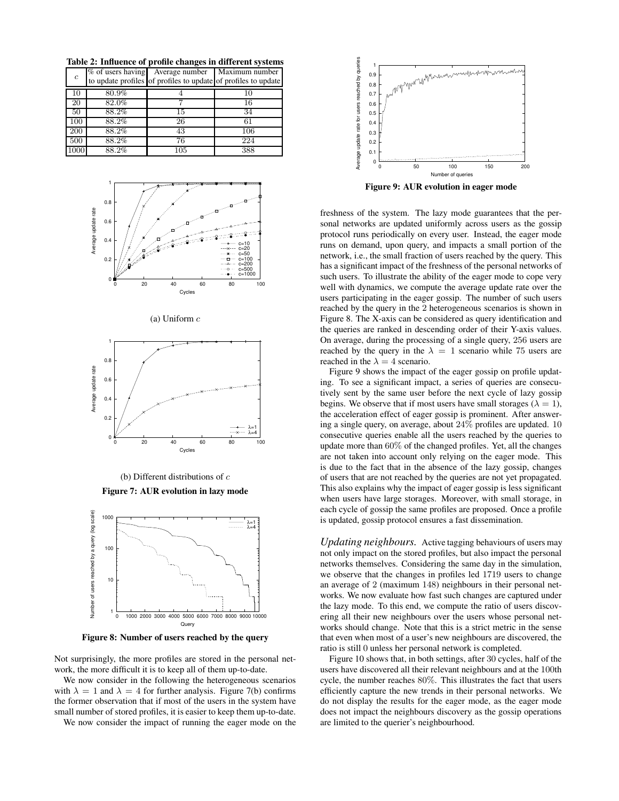**Table 2: Influence of profile changes in different systems**

| $\mathfrak{c}$ |       | % of users having Average number<br>to update profiles of profiles to update of profiles to update | Maximum number |
|----------------|-------|----------------------------------------------------------------------------------------------------|----------------|
| 10             | 80.9% |                                                                                                    | 10             |
| 20             | 82.0% |                                                                                                    | 16             |
| 50             | 88.2% | 15                                                                                                 | 34             |
| 100            | 88.2% | 26                                                                                                 | 61             |
| 200            | 88.2% | 43                                                                                                 | 106            |
| 500            | 88.2% | 76                                                                                                 | 224            |
| 1000           | 88.2% | 105                                                                                                | 388            |







(b) Different distributions of  $c$ 

**Figure 7: AUR evolution in lazy mode**



**Figure 8: Number of users reached by the query**

Not surprisingly, the more profiles are stored in the personal network, the more difficult it is to keep all of them up-to-date.

We now consider in the following the heterogeneous scenarios with  $\lambda = 1$  and  $\lambda = 4$  for further analysis. Figure 7(b) confirms the former observation that if most of the users in the system have small number of stored profiles, it is easier to keep them up-to-date.

We now consider the impact of running the eager mode on the



**Figure 9: AUR evolution in eager mode**

freshness of the system. The lazy mode guarantees that the personal networks are updated uniformly across users as the gossip protocol runs periodically on every user. Instead, the eager mode runs on demand, upon query, and impacts a small portion of the network, i.e., the small fraction of users reached by the query. This has a significant impact of the freshness of the personal networks of such users. To illustrate the ability of the eager mode to cope very well with dynamics, we compute the average update rate over the users participating in the eager gossip. The number of such users reached by the query in the 2 heterogeneous scenarios is shown in Figure 8. The X-axis can be considered as query identification and the queries are ranked in descending order of their Y-axis values. On average, during the processing of a single query, 256 users are reached by the query in the  $\lambda = 1$  scenario while 75 users are reached in the  $\lambda = 4$  scenario.

Figure 9 shows the impact of the eager gossip on profile updating. To see a significant impact, a series of queries are consecutively sent by the same user before the next cycle of lazy gossip begins. We observe that if most users have small storages ( $\lambda = 1$ ), the acceleration effect of eager gossip is prominent. After answering a single query, on average, about 24% profiles are updated. 10 consecutive queries enable all the users reached by the queries to update more than 60% of the changed profiles. Yet, all the changes are not taken into account only relying on the eager mode. This is due to the fact that in the absence of the lazy gossip, changes of users that are not reached by the queries are not yet propagated. This also explains why the impact of eager gossip is less significant when users have large storages. Moreover, with small storage, in each cycle of gossip the same profiles are proposed. Once a profile is updated, gossip protocol ensures a fast dissemination.

*Updating neighbours.* Active tagging behaviours of users may not only impact on the stored profiles, but also impact the personal networks themselves. Considering the same day in the simulation, we observe that the changes in profiles led 1719 users to change an average of 2 (maximum 148) neighbours in their personal networks. We now evaluate how fast such changes are captured under the lazy mode. To this end, we compute the ratio of users discovering all their new neighbours over the users whose personal networks should change. Note that this is a strict metric in the sense that even when most of a user's new neighbours are discovered, the ratio is still 0 unless her personal network is completed.

Figure 10 shows that, in both settings, after 30 cycles, half of the users have discovered all their relevant neighbours and at the 100th cycle, the number reaches 80%. This illustrates the fact that users efficiently capture the new trends in their personal networks. We do not display the results for the eager mode, as the eager mode does not impact the neighbours discovery as the gossip operations are limited to the querier's neighbourhood.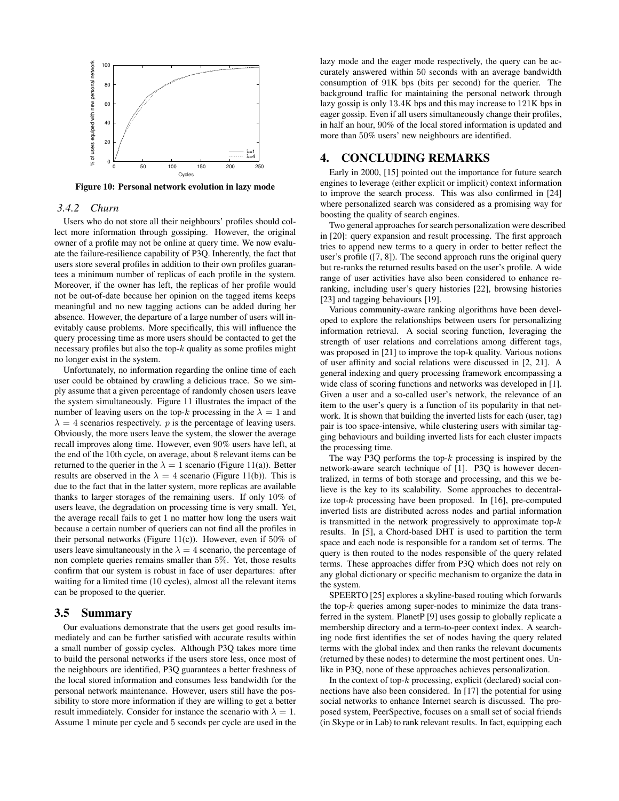

**Figure 10: Personal network evolution in lazy mode**

#### *3.4.2 Churn*

Users who do not store all their neighbours' profiles should collect more information through gossiping. However, the original owner of a profile may not be online at query time. We now evaluate the failure-resilience capability of P3Q. Inherently, the fact that users store several profiles in addition to their own profiles guarantees a minimum number of replicas of each profile in the system. Moreover, if the owner has left, the replicas of her profile would not be out-of-date because her opinion on the tagged items keeps meaningful and no new tagging actions can be added during her absence. However, the departure of a large number of users will inevitably cause problems. More specifically, this will influence the query processing time as more users should be contacted to get the necessary profiles but also the top- $k$  quality as some profiles might no longer exist in the system.

Unfortunately, no information regarding the online time of each user could be obtained by crawling a delicious trace. So we simply assume that a given percentage of randomly chosen users leave the system simultaneously. Figure 11 illustrates the impact of the number of leaving users on the top-k processing in the  $\lambda = 1$  and  $\lambda = 4$  scenarios respectively. *p* is the percentage of leaving users. Obviously, the more users leave the system, the slower the average recall improves along time. However, even 90% users have left, at the end of the 10th cycle, on average, about 8 relevant items can be returned to the querier in the  $\lambda = 1$  scenario (Figure 11(a)). Better results are observed in the  $\lambda = 4$  scenario (Figure 11(b)). This is due to the fact that in the latter system, more replicas are available thanks to larger storages of the remaining users. If only 10% of users leave, the degradation on processing time is very small. Yet, the average recall fails to get 1 no matter how long the users wait because a certain number of queriers can not find all the profiles in their personal networks (Figure 11(c)). However, even if  $50\%$  of users leave simultaneously in the  $\lambda = 4$  scenario, the percentage of non complete queries remains smaller than 5%. Yet, those results confirm that our system is robust in face of user departures: after waiting for a limited time (10 cycles), almost all the relevant items can be proposed to the querier.

#### **3.5 Summary**

Our evaluations demonstrate that the users get good results immediately and can be further satisfied with accurate results within a small number of gossip cycles. Although P3Q takes more time to build the personal networks if the users store less, once most of the neighbours are identified, P3Q guarantees a better freshness of the local stored information and consumes less bandwidth for the personal network maintenance. However, users still have the possibility to store more information if they are willing to get a better result immediately. Consider for instance the scenario with  $\lambda = 1$ . Assume 1 minute per cycle and 5 seconds per cycle are used in the

lazy mode and the eager mode respectively, the query can be accurately answered within 50 seconds with an average bandwidth consumption of 91K bps (bits per second) for the querier. The background traffic for maintaining the personal network through lazy gossip is only 13.4K bps and this may increase to 121K bps in eager gossip. Even if all users simultaneously change their profiles, in half an hour, 90% of the local stored information is updated and more than 50% users' new neighbours are identified.

## **4. CONCLUDING REMARKS**

Early in 2000, [15] pointed out the importance for future search engines to leverage (either explicit or implicit) context information to improve the search process. This was also confirmed in [24] where personalized search was considered as a promising way for boosting the quality of search engines.

Two general approaches for search personalization were described in [20]: query expansion and result processing. The first approach tries to append new terms to a query in order to better reflect the user's profile ([7, 8]). The second approach runs the original query but re-ranks the returned results based on the user's profile. A wide range of user activities have also been considered to enhance reranking, including user's query histories [22], browsing histories [23] and tagging behaviours [19].

Various community-aware ranking algorithms have been developed to explore the relationships between users for personalizing information retrieval. A social scoring function, leveraging the strength of user relations and correlations among different tags, was proposed in [21] to improve the top-k quality. Various notions of user affinity and social relations were discussed in [2, 21]. A general indexing and query processing framework encompassing a wide class of scoring functions and networks was developed in [1]. Given a user and a so-called user's network, the relevance of an item to the user's query is a function of its popularity in that network. It is shown that building the inverted lists for each (user, tag) pair is too space-intensive, while clustering users with similar tagging behaviours and building inverted lists for each cluster impacts the processing time.

The way P3Q performs the top- $k$  processing is inspired by the network-aware search technique of [1]. P3Q is however decentralized, in terms of both storage and processing, and this we believe is the key to its scalability. Some approaches to decentralize top-k processing have been proposed. In [16], pre-computed inverted lists are distributed across nodes and partial information is transmitted in the network progressively to approximate top- $k$ results. In [5], a Chord-based DHT is used to partition the term space and each node is responsible for a random set of terms. The query is then routed to the nodes responsible of the query related terms. These approaches differ from P3Q which does not rely on any global dictionary or specific mechanism to organize the data in the system.

SPEERTO [25] explores a skyline-based routing which forwards the top- $k$  queries among super-nodes to minimize the data transferred in the system. PlanetP [9] uses gossip to globally replicate a membership directory and a term-to-peer context index. A searching node first identifies the set of nodes having the query related terms with the global index and then ranks the relevant documents (returned by these nodes) to determine the most pertinent ones. Unlike in P3Q, none of these approaches achieves personalization.

In the context of top- $k$  processing, explicit (declared) social connections have also been considered. In [17] the potential for using social networks to enhance Internet search is discussed. The proposed system, PeerSpective, focuses on a small set of social friends (in Skype or in Lab) to rank relevant results. In fact, equipping each